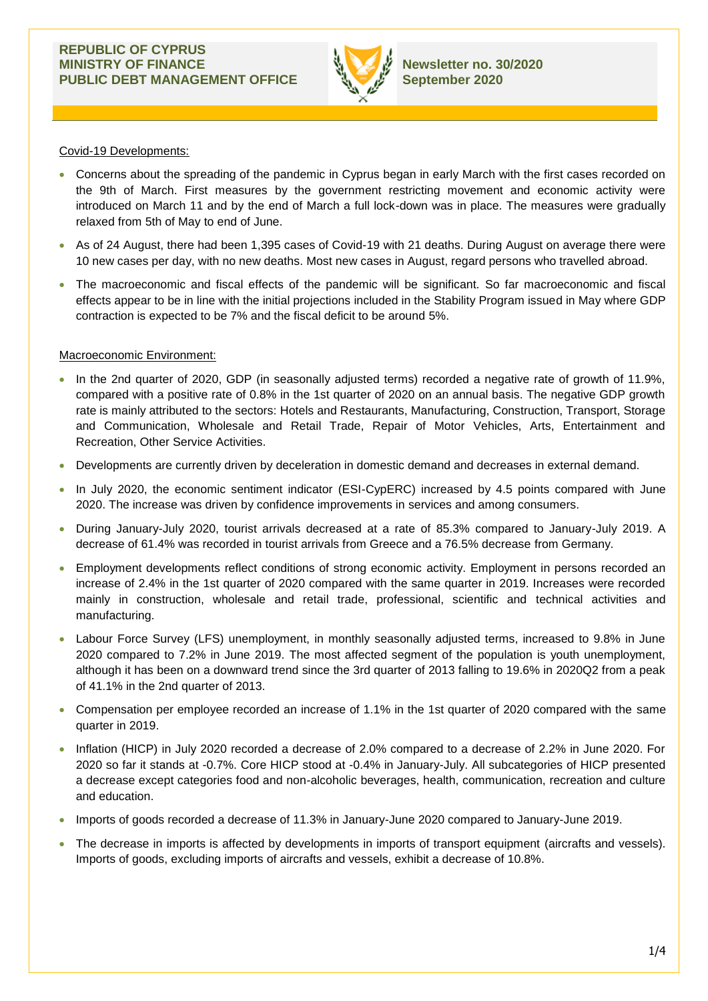

Covid-19 Developments:

- Concerns about the spreading of the pandemic in Cyprus began in early March with the first cases recorded on the 9th of March. First measures by the government restricting movement and economic activity were introduced on March 11 and by the end of March a full lock-down was in place. The measures were gradually relaxed from 5th of May to end of June.
- As of 24 August, there had been 1,395 cases of Covid-19 with 21 deaths. During August on average there were 10 new cases per day, with no new deaths. Most new cases in August, regard persons who travelled abroad.
- The macroeconomic and fiscal effects of the pandemic will be significant. So far macroeconomic and fiscal effects appear to be in line with the initial projections included in the Stability Program issued in May where GDP contraction is expected to be 7% and the fiscal deficit to be around 5%.

# Macroeconomic Environment:

- In the 2nd quarter of 2020, GDP (in seasonally adjusted terms) recorded a negative rate of growth of 11.9%, compared with a positive rate of 0.8% in the 1st quarter of 2020 on an annual basis. The negative GDP growth rate is mainly attributed to the sectors: Hotels and Restaurants, Manufacturing, Construction, Transport, Storage and Communication, Wholesale and Retail Trade, Repair of Motor Vehicles, Arts, Entertainment and Recreation, Other Service Activities.
- Developments are currently driven by deceleration in domestic demand and decreases in external demand.
- In July 2020, the economic sentiment indicator (ESI-CypERC) increased by 4.5 points compared with June 2020. The increase was driven by confidence improvements in services and among consumers.
- During January-July 2020, tourist arrivals decreased at a rate of 85.3% compared to January-July 2019. A decrease of 61.4% was recorded in tourist arrivals from Greece and a 76.5% decrease from Germany.
- Employment developments reflect conditions of strong economic activity. Employment in persons recorded an increase of 2.4% in the 1st quarter of 2020 compared with the same quarter in 2019. Increases were recorded mainly in construction, wholesale and retail trade, professional, scientific and technical activities and manufacturing.
- Labour Force Survey (LFS) unemployment, in monthly seasonally adjusted terms, increased to 9.8% in June 2020 compared to 7.2% in June 2019. The most affected segment of the population is youth unemployment, although it has been on a downward trend since the 3rd quarter of 2013 falling to 19.6% in 2020Q2 from a peak of 41.1% in the 2nd quarter of 2013.
- Compensation per employee recorded an increase of 1.1% in the 1st quarter of 2020 compared with the same quarter in 2019.
- Inflation (HICP) in July 2020 recorded a decrease of 2.0% compared to a decrease of 2.2% in June 2020. For 2020 so far it stands at -0.7%. Core HICP stood at -0.4% in January-July. All subcategories of HICP presented a decrease except categories food and non-alcoholic beverages, health, communication, recreation and culture and education.
- Imports of goods recorded a decrease of 11.3% in January-June 2020 compared to January-June 2019.
- The decrease in imports is affected by developments in imports of transport equipment (aircrafts and vessels). Imports of goods, excluding imports of aircrafts and vessels, exhibit a decrease of 10.8%.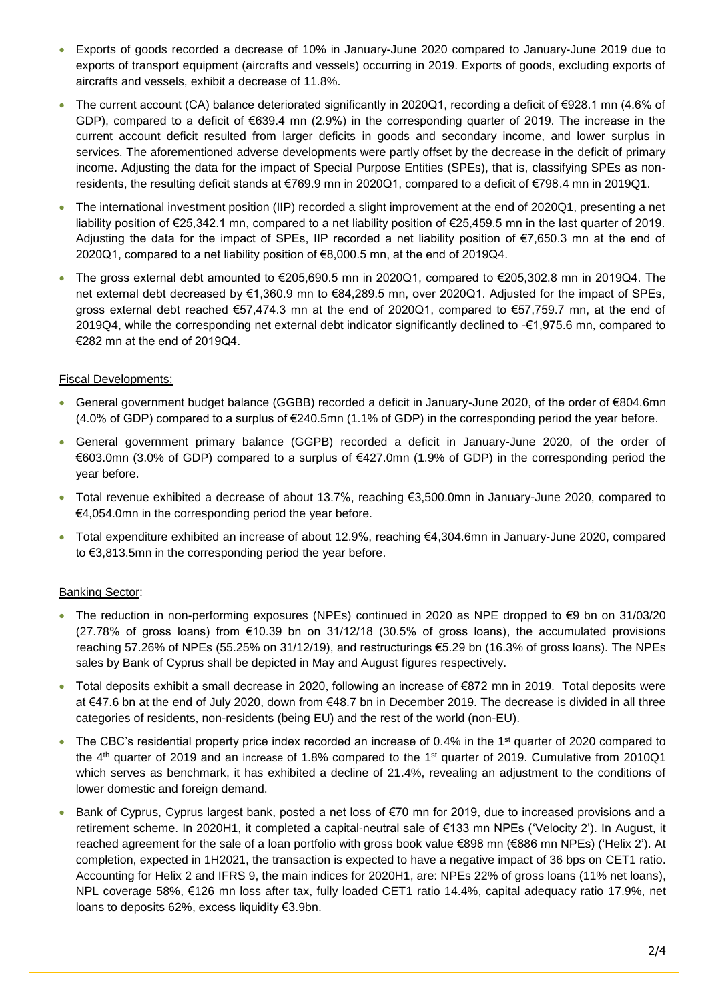- Exports of goods recorded a decrease of 10% in January-June 2020 compared to January-June 2019 due to exports of transport equipment (aircrafts and vessels) occurring in 2019. Exports of goods, excluding exports of aircrafts and vessels, exhibit a decrease of 11.8%.
- The current account (CA) balance deteriorated significantly in 2020Q1, recording a deficit of €928.1 mn (4.6% of GDP), compared to a deficit of €639.4 mn (2.9%) in the corresponding quarter of 2019. The increase in the current account deficit resulted from larger deficits in goods and secondary income, and lower surplus in services. The aforementioned adverse developments were partly offset by the decrease in the deficit of primary income. Adjusting the data for the impact of Special Purpose Entities (SPEs), that is, classifying SPEs as nonresidents, the resulting deficit stands at €769.9 mn in 2020Q1, compared to a deficit of €798.4 mn in 2019Q1.
- The international investment position (IIP) recorded a slight improvement at the end of 2020Q1, presenting a net liability position of €25,342.1 mn, compared to a net liability position of €25,459.5 mn in the last quarter of 2019. Adjusting the data for the impact of SPEs, IIP recorded a net liability position of €7,650.3 mn at the end of 2020Q1, compared to a net liability position of €8,000.5 mn, at the end of 2019Q4.
- The gross external debt amounted to €205,690.5 mn in 2020Q1, compared to €205,302.8 mn in 2019Q4. The net external debt decreased by €1,360.9 mn to €84,289.5 mn, over 2020Q1. Adjusted for the impact of SPEs, gross external debt reached €57,474.3 mn at the end of 2020Q1, compared to €57,759.7 mn, at the end of 2019Q4, while the corresponding net external debt indicator significantly declined to -€1,975.6 mn, compared to €282 mn at the end of 2019Q4.

# Fiscal Developments:

- General government budget balance (GGBB) recorded a deficit in January-June 2020, of the order of €804.6mn (4.0% of GDP) compared to a surplus of €240.5mn (1.1% of GDP) in the corresponding period the year before.
- General government primary balance (GGPB) recorded a deficit in January-June 2020, of the order of €603.0mn (3.0% of GDP) compared to a surplus of €427.0mn (1.9% of GDP) in the corresponding period the year before.
- Total revenue exhibited a decrease of about 13.7%, reaching €3,500.0mn in January-June 2020, compared to €4,054.0mn in the corresponding period the year before.
- Total expenditure exhibited an increase of about 12.9%, reaching €4,304.6mn in January-June 2020, compared to €3,813.5mn in the corresponding period the year before.

## Banking Sector:

- The reduction in non-performing exposures (NPEs) continued in 2020 as NPE dropped to €9 bn on 31/03/20 (27.78% of gross loans) from €10.39 bn on 31/12/18 (30.5% of gross loans), the accumulated provisions reaching 57.26% of NPEs (55.25% on 31/12/19), and restructurings €5.29 bn (16.3% of gross loans). The NPEs sales by Bank of Cyprus shall be depicted in May and August figures respectively.
- Total deposits exhibit a small decrease in 2020, following an increase of €872 mn in 2019. Total deposits were at €47.6 bn at the end of July 2020, down from €48.7 bn in December 2019. The decrease is divided in all three categories of residents, non-residents (being EU) and the rest of the world (non-EU).
- The CBC's residential property price index recorded an increase of 0.4% in the 1<sup>st</sup> quarter of 2020 compared to the 4<sup>th</sup> quarter of 2019 and an increase of 1.8% compared to the 1<sup>st</sup> quarter of 2019. Cumulative from 2010Q1 which serves as benchmark, it has exhibited a decline of 21.4%, revealing an adjustment to the conditions of lower domestic and foreign demand.
- Bank of Cyprus, Cyprus largest bank, posted a net loss of €70 mn for 2019, due to increased provisions and a retirement scheme. In 2020H1, it completed a capital-neutral sale of €133 mn NPEs ('Velocity 2'). In August, it reached agreement for the sale of a loan portfolio with gross book value €898 mn (€886 mn NPEs) ('Helix 2'). At completion, expected in 1H2021, the transaction is expected to have a negative impact of 36 bps on CET1 ratio. Accounting for Helix 2 and IFRS 9, the main indices for 2020H1, are: NPEs 22% of gross loans (11% net loans), NPL coverage 58%, €126 mn loss after tax, fully loaded CET1 ratio 14.4%, capital adequacy ratio 17.9%, net loans to deposits 62%, excess liquidity €3.9bn.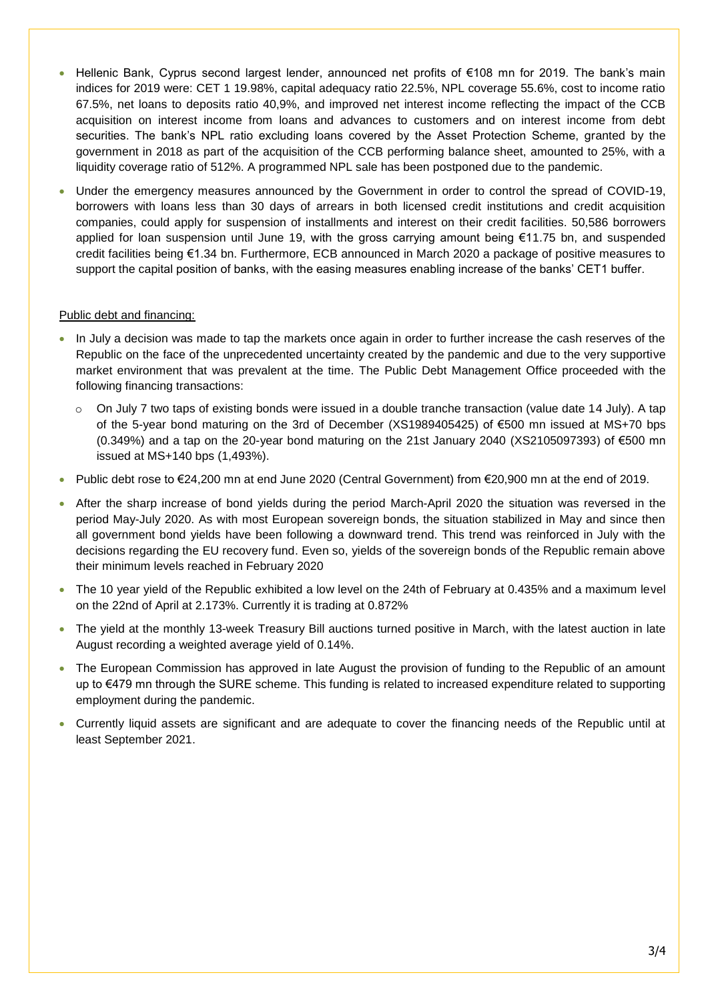- Hellenic Bank, Cyprus second largest lender, announced net profits of €108 mn for 2019. The bank's main indices for 2019 were: CET 1 19.98%, capital adequacy ratio 22.5%, NPL coverage 55.6%, cost to income ratio 67.5%, net loans to deposits ratio 40,9%, and improved net interest income reflecting the impact of the CCB acquisition on interest income from loans and advances to customers and on interest income from debt securities. The bank's NPL ratio excluding loans covered by the Asset Protection Scheme, granted by the government in 2018 as part of the acquisition of the CCB performing balance sheet, amounted to 25%, with a liquidity coverage ratio of 512%. A programmed NPL sale has been postponed due to the pandemic.
- Under the emergency measures announced by the Government in order to control the spread of COVID-19, borrowers with loans less than 30 days of arrears in both licensed credit institutions and credit acquisition companies, could apply for suspension of installments and interest on their credit facilities. 50,586 borrowers applied for loan suspension until June 19, with the gross carrying amount being €11.75 bn, and suspended credit facilities being €1.34 bn. Furthermore, ECB announced in March 2020 a package of positive measures to support the capital position of banks, with the easing measures enabling increase of the banks' CET1 buffer.

## Public debt and financing:

- In July a decision was made to tap the markets once again in order to further increase the cash reserves of the Republic on the face of the unprecedented uncertainty created by the pandemic and due to the very supportive market environment that was prevalent at the time. The Public Debt Management Office proceeded with the following financing transactions:
	- o On July 7 two taps of existing bonds were issued in a double tranche transaction (value date 14 July). A tap of the 5-year bond maturing on the 3rd of December (XS1989405425) of €500 mn issued at MS+70 bps (0.349%) and a tap on the 20-year bond maturing on the 21st January 2040 (XS2105097393) of €500 mn issued at MS+140 bps (1,493%).
- Public debt rose to €24,200 mn at end June 2020 (Central Government) from €20,900 mn at the end of 2019.
- After the sharp increase of bond yields during the period March-April 2020 the situation was reversed in the period May-July 2020. As with most European sovereign bonds, the situation stabilized in May and since then all government bond yields have been following a downward trend. This trend was reinforced in July with the decisions regarding the EU recovery fund. Even so, yields of the sovereign bonds of the Republic remain above their minimum levels reached in February 2020
- The 10 year yield of the Republic exhibited a low level on the 24th of February at 0.435% and a maximum level on the 22nd of April at 2.173%. Currently it is trading at 0.872%
- The yield at the monthly 13-week Treasury Bill auctions turned positive in March, with the latest auction in late August recording a weighted average yield of 0.14%.
- The European Commission has approved in late August the provision of funding to the Republic of an amount up to €479 mn through the SURE scheme. This funding is related to increased expenditure related to supporting employment during the pandemic.
- Currently liquid assets are significant and are adequate to cover the financing needs of the Republic until at least September 2021.